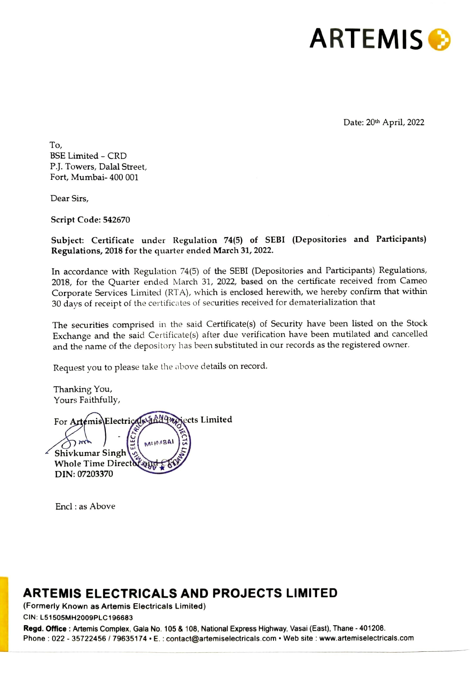

Date: 20<sup>th</sup> April, 2022

To, BSE Limited - CRD P.J. Towers, Dalal Street, Fort, Mumbai- 400 001

Dear Sirs,

Script Code: 542670

Subject: Certificate under Regulation 74(5) of SEBI (Depositories and Participants) Regulations, 2018 for the quarter ended March 31, 2022.

In accordance with Regulation 74(5) of the SEBI (Depositories and Participants) Regulations, 2018, for the Quarter ended March 31, 2022, based on the certificate received from Cameo Corporate Services Limited (RTA), which is enclosed herewith, we hereby confirm that within 30 days of receipt of the certificates of securities received for dematerialization that

The securities comprised in the said Certificate(s) of Security have been listed on the Stock Exchange and the said Certificate(s) after due verification have been mutilated and cancelled and the name of the depository has been substituted in our records as the registered owner.

Request you to please take the above details on record.

Thanking You, Yours Faithfully,

For Artemis Electricals and 922 ects Limited **MILIMABAI** Shivkumar Singh **Whole Time Direct** DIN: 07203370

Encl : as Above

## ARTEMIS ELECTRICALS AND PROJECTS LIMITED

(Formerly Known as Artemis Electricals Limited)

CIN: L51505MH2009PLC 196683

**TRICALS**<br>is Electricals L<br>83<br>x, Gala No. 105<br>35174 • E. : con Regd. Office : Artemis Complex, Gala No. 105 & 108, National Express Highway, Vasai (East), Thane - 401208. Phone : 022 - 35722456 / 79635174 + E. : contact@artemiselectricals.com + Web site : www.artemiselectricals.com